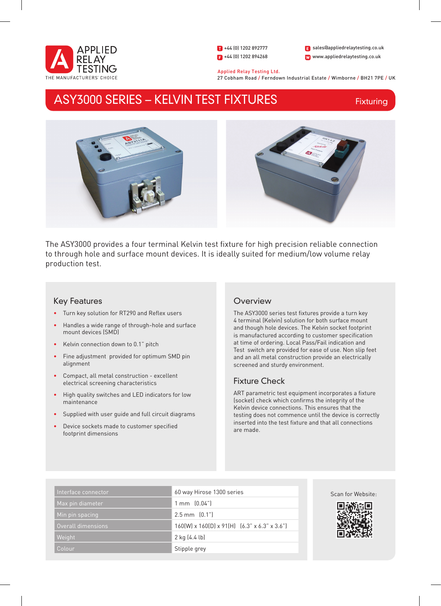

1 +44 (0) 1202 892777  $\bullet$  +44 (0) 1202 894268 W www.appliedrelaytesting.co.uk sales@appliedrelaytesting.co.uk

 Applied Relay Testing Ltd. 27 Cobham Road / Ferndown Industrial Estate / Wimborne / BH21 7PE / UK

# ASY3000 SERIES – KELVIN TEST FIXTURES

Fixturing



The ASY3000 provides a four terminal Kelvin test fixture for high precision reliable connection to through hole and surface mount devices. It is ideally suited for medium/low volume relay production test.

# Key Features

- • Turn key solution for RT290 and Reflex users
- • Handles a wide range of through-hole and surface mount devices (SMD)
- Kelvin connection down to 0.1" pitch
- • Fine adjustment provided for optimum SMD pin alignment
- Compact, all metal construction excellent electrical screening characteristics
- High quality switches and LED indicators for low maintenance
- Supplied with user guide and full circuit diagrams
- Device sockets made to customer specified footprint dimensions

## **Overview**

The ASY3000 series test fixtures provide a turn key 4 terminal (Kelvin) solution for both surface mount and though hole devices. The Kelvin socket footprint is manufactured according to customer specification at time of ordering. Local Pass/Fail indication and Test switch are provided for ease of use. Non slip feet and an all metal construction provide an electrically screened and sturdy environment.

# Fixture Check

ART parametric test equipment incorporates a fixture (socket) check which confirms the integrity of the Kelvin device connections. This ensures that the testing does not commence until the device is correctly inserted into the test fixture and that all connections are made.

| Interface connector | 60 way Hirose 1300 series                               |
|---------------------|---------------------------------------------------------|
| Max pin diameter    | $1 \text{ mm}$ $(0.04")$                                |
| Min pin spacing     | $2.5$ mm $[0.1$ "                                       |
| Overall dimensions  | $160(W)$ x $160(D)$ x $91(H)$ $(6.3"$ x $6.3"$ x $3.6"$ |
| Weight              | $2$ kg (4.4 lb)                                         |
| Colour              | Stipple grey                                            |



Scan for Website: